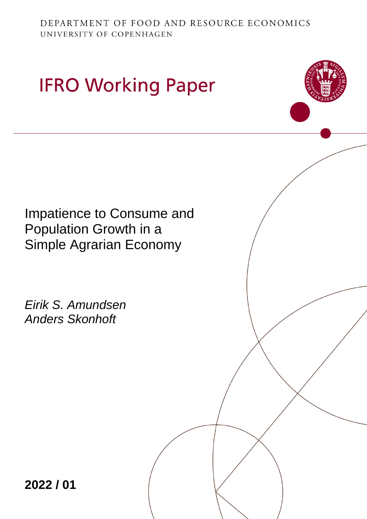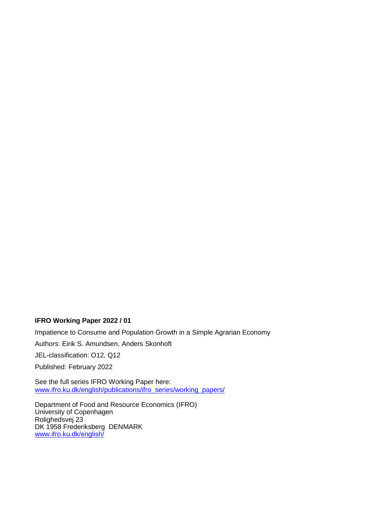## **IFRO Working Paper 2022 / 01**

Impatience to Consume and Population Growth in a Simple Agrarian Economy

Authors: Eirik S. Amundsen, Anders Skonhoft

JEL-classification: O12, Q12

Published: February 2022

See the full series IFRO Working Paper here: [www.ifro.ku.dk/english/publications/ifro\\_series/working\\_papers/](http://www.ifro.ku.dk/english/publications/ifro_series/working_papers/)

Department of Food and Resource Economics (IFRO) University of Copenhagen Rolighedsvej 23 DK 1958 Frederiksberg DENMARK [www.ifro.ku.dk/english/](http://www.ifro.ku.dk/english/)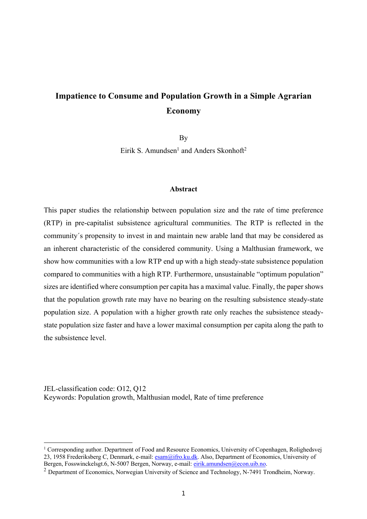# **Impatience to Consume and Population Growth in a Simple Agrarian Economy**

By

Eirik S. Amundsen<sup>1</sup> and Anders Skonhoft<sup>2</sup>

### **Abstract**

This paper studies the relationship between population size and the rate of time preference (RTP) in pre-capitalist subsistence agricultural communities. The RTP is reflected in the community´s propensity to invest in and maintain new arable land that may be considered as an inherent characteristic of the considered community. Using a Malthusian framework, we show how communities with a low RTP end up with a high steady-state subsistence population compared to communities with a high RTP. Furthermore, unsustainable "optimum population" sizes are identified where consumption per capita has a maximal value. Finally, the paper shows that the population growth rate may have no bearing on the resulting subsistence steady-state population size. A population with a higher growth rate only reaches the subsistence steadystate population size faster and have a lower maximal consumption per capita along the path to the subsistence level.

JEL-classification code: O12, Q12 Keywords: Population growth, Malthusian model, Rate of time preference

<sup>&</sup>lt;sup>1</sup> Corresponding author. Department of Food and Resource Economics, University of Copenhagen, Rolighedsvej 23, 1958 Frederiksberg C, Denmark, e-mail: esam@ifro.ku.dk. Also, Department of Economics, University of Bergen, Fosswinckelsgt.6, N-5007 Bergen, Norway, e-mail: eirik.amundsen@econ.uib.no.

<sup>&</sup>lt;sup>2</sup> Department of Economics, Norwegian University of Science and Technology, N-7491 Trondheim, Norway.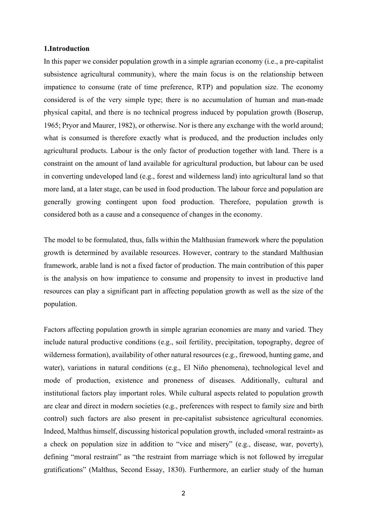## **1.Introduction**

In this paper we consider population growth in a simple agrarian economy (i.e., a pre-capitalist subsistence agricultural community), where the main focus is on the relationship between impatience to consume (rate of time preference, RTP) and population size. The economy considered is of the very simple type; there is no accumulation of human and man-made physical capital, and there is no technical progress induced by population growth (Boserup, 1965; Pryor and Maurer, 1982), or otherwise. Nor is there any exchange with the world around; what is consumed is therefore exactly what is produced, and the production includes only agricultural products. Labour is the only factor of production together with land. There is a constraint on the amount of land available for agricultural production, but labour can be used in converting undeveloped land (e.g., forest and wilderness land) into agricultural land so that more land, at a later stage, can be used in food production. The labour force and population are generally growing contingent upon food production. Therefore, population growth is considered both as a cause and a consequence of changes in the economy.

The model to be formulated, thus, falls within the Malthusian framework where the population growth is determined by available resources. However, contrary to the standard Malthusian framework, arable land is not a fixed factor of production. The main contribution of this paper is the analysis on how impatience to consume and propensity to invest in productive land resources can play a significant part in affecting population growth as well as the size of the population.

Factors affecting population growth in simple agrarian economies are many and varied. They include natural productive conditions (e.g., soil fertility, precipitation, topography, degree of wilderness formation), availability of other natural resources (e.g., firewood, hunting game, and water), variations in natural conditions (e.g., El Niño phenomena), technological level and mode of production, existence and proneness of diseases. Additionally, cultural and institutional factors play important roles. While cultural aspects related to population growth are clear and direct in modern societies (e.g., preferences with respect to family size and birth control) such factors are also present in pre-capitalist subsistence agricultural economies. Indeed, Malthus himself, discussing historical population growth, included «moral restraint» as a check on population size in addition to "vice and misery" (e.g., disease, war, poverty), defining "moral restraint" as "the restraint from marriage which is not followed by irregular gratifications" (Malthus, Second Essay, 1830). Furthermore, an earlier study of the human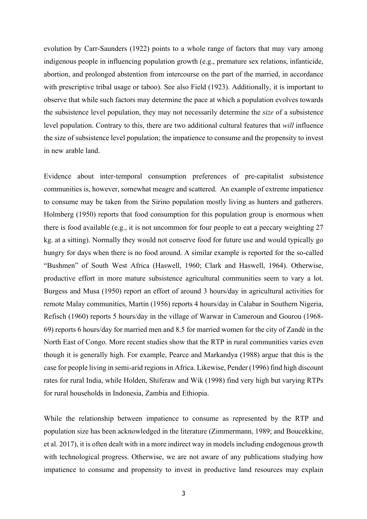evolution by Carr-Saunders (1922) points to a whole range of factors that may vary among indigenous people in influencing population growth (e.g., premature sex relations, infanticide, abortion, and prolonged abstention from intercourse on the part of the married, in accordance with prescriptive tribal usage or taboo). See also Field (1923). Additionally, it is important to observe that while such factors may determine the pace at which a population evolves towards the subsistence level population, they may not necessarily determine the *size* of a subsistence level population. Contrary to this, there are two additional cultural features that *will* influence the size of subsistence level population; the impatience to consume and the propensity to invest in new arable land.

Evidence about inter-temporal consumption preferences of pre-capitalist subsistence communities is, however, somewhat meagre and scattered. An example of extreme impatience to consume may be taken from the Sirino population mostly living as hunters and gatherers. Holmberg (1950) reports that food consumption for this population group is enormous when there is food available (e.g., it is not uncommon for four people to eat a peccary weighting 27 kg. at a sitting). Normally they would not conserve food for future use and would typically go hungry for days when there is no food around. A similar example is reported for the so-called "Bushmen" of South West Africa (Haswell, 1960; Clark and Haswell, 1964). Otherwise, productive effort in more mature subsistence agricultural communities seem to vary a lot. Burgess and Musa (1950) report an effort of around 3 hours/day in agricultural activities for remote Malay communities, Martin (1956) reports 4 hours/day in Calabar in Southern Nigeria, Refisch (1960) reports 5 hours/day in the village of Warwar in Cameroun and Gourou (1968- 69) reports 6 hours/day for married men and 8.5 for married women for the city of Zandé in the North East of Congo. More recent studies show that the RTP in rural communities varies even though it is generally high. For example, Pearce and Markandya (1988) argue that this is the case for people living in semi-arid regions in Africa. Likewise, Pender (1996) find high discount rates for rural India, while Holden, Shiferaw and Wik (1998) find very high but varying RTPs for rural households in Indonesia, Zambia and Ethiopia.

While the relationship between impatience to consume as represented by the RTP and population size has been acknowledged in the literature (Zimmermann, 1989; and Boucekkine, et al. 2017), it is often dealt with in a more indirect way in models including endogenous growth with technological progress. Otherwise, we are not aware of any publications studying how impatience to consume and propensity to invest in productive land resources may explain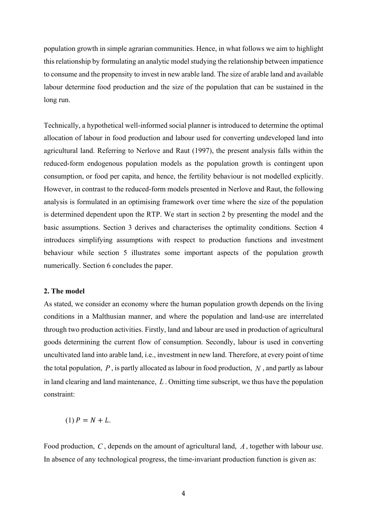population growth in simple agrarian communities. Hence, in what follows we aim to highlight this relationship by formulating an analytic model studying the relationship between impatience to consume and the propensity to invest in new arable land. The size of arable land and available labour determine food production and the size of the population that can be sustained in the long run.

Technically, a hypothetical well-informed social planner is introduced to determine the optimal allocation of labour in food production and labour used for converting undeveloped land into agricultural land. Referring to Nerlove and Raut (1997), the present analysis falls within the reduced-form endogenous population models as the population growth is contingent upon consumption, or food per capita, and hence, the fertility behaviour is not modelled explicitly. However, in contrast to the reduced-form models presented in Nerlove and Raut, the following analysis is formulated in an optimising framework over time where the size of the population is determined dependent upon the RTP. We start in section 2 by presenting the model and the basic assumptions. Section 3 derives and characterises the optimality conditions. Section 4 introduces simplifying assumptions with respect to production functions and investment behaviour while section 5 illustrates some important aspects of the population growth numerically. Section 6 concludes the paper.

## **2. The model**

As stated, we consider an economy where the human population growth depends on the living conditions in a Malthusian manner, and where the population and land-use are interrelated through two production activities. Firstly, land and labour are used in production of agricultural goods determining the current flow of consumption. Secondly, labour is used in converting uncultivated land into arable land, i.e., investment in new land. Therefore, at every point of time the total population,  $P$ , is partly allocated as labour in food production,  $N$ , and partly as labour in land clearing and land maintenance,  $L$ . Omitting time subscript, we thus have the population constraint:

$$
(1) P = N + L.
$$

Food production,  $C$ , depends on the amount of agricultural land,  $A$ , together with labour use. In absence of any technological progress, the time-invariant production function is given as: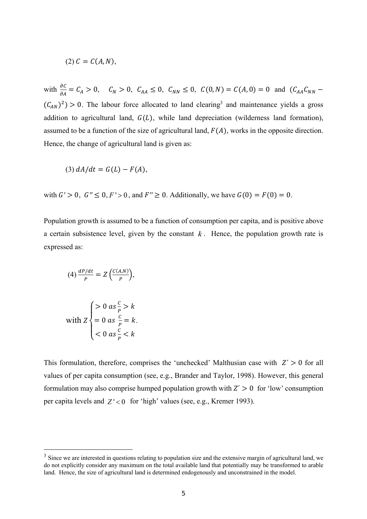$$
(2) C = C(A,N),
$$

with  $\frac{\partial C}{\partial A} = C_A > 0$ ,  $C_N > 0$ ,  $C_{AA} \le 0$ ,  $C_{NN} \le 0$ ,  $C(0, N) = C(A, 0) = 0$  and  $(C_{AA}C_{NN} - C_{AA}C_{NN})$  $(C_{AN})^2$  > 0. The labour force allocated to land clearing<sup>3</sup> and maintenance yields a gross addition to agricultural land,  $G(L)$ , while land depreciation (wilderness land formation), assumed to be a function of the size of agricultural land,  $F(A)$ , works in the opposite direction. Hence, the change of agricultural land is given as:

$$
(3) dA/dt = G(L) - F(A),
$$

with  $G' > 0$ ,  $G'' \le 0, F' > 0$ , and  $F'' \ge 0$ . Additionally, we have  $G(0) = F(0) = 0$ .

Population growth is assumed to be a function of consumption per capita, and is positive above a certain subsistence level, given by the constant  $k$ . Hence, the population growth rate is expressed as:

$$
(4) \frac{dP/dt}{P} = Z \left( \frac{C(A,N)}{P} \right),
$$

with 
$$
Z \begin{cases} > 0 & \text{as } \frac{c}{p} > k \\ = 0 & \text{as } \frac{c}{p} = k \\ < 0 & \text{as } \frac{c}{p} < k \end{cases}
$$

.

This formulation, therefore, comprises the 'unchecked' Malthusian case with  $Z' > 0$  for all values of per capita consumption (see, e.g., Brander and Taylor, 1998). However, this general formulation may also comprise humped population growth with  $Z' > 0$  for 'low' consumption per capita levels and  $Z' < 0$  for 'high' values (see, e.g., Kremer 1993).

<sup>&</sup>lt;sup>3</sup> Since we are interested in questions relating to population size and the extensive margin of agricultural land, we do not explicitly consider any maximum on the total available land that potentially may be transformed to arable land. Hence, the size of agricultural land is determined endogenously and unconstrained in the model.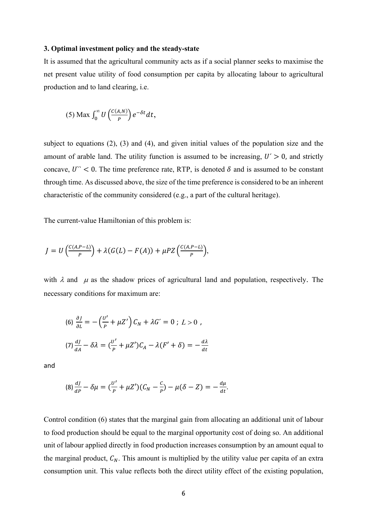#### **3. Optimal investment policy and the steady-state**

It is assumed that the agricultural community acts as if a social planner seeks to maximise the net present value utility of food consumption per capita by allocating labour to agricultural production and to land clearing, i.e.

(5) Max 
$$
\int_0^\infty U\left(\frac{C(A,N)}{P}\right)e^{-\delta t}dt
$$
,

subject to equations (2), (3) and (4), and given initial values of the population size and the amount of arable land. The utility function is assumed to be increasing,  $U' > 0$ , and strictly concave,  $U^*$  < 0. The time preference rate, RTP, is denoted  $\delta$  and is assumed to be constant through time. As discussed above, the size of the time preference is considered to be an inherent characteristic of the community considered (e.g., a part of the cultural heritage).

The current-value Hamiltonian of this problem is:

$$
J = U\left(\frac{C(A,P-L)}{P}\right) + \lambda(G(L) - F(A)) + \mu P Z\left(\frac{C(A,P-L)}{P}\right),
$$

with  $\lambda$  and  $\mu$  as the shadow prices of agricultural land and population, respectively. The necessary conditions for maximum are:

$$
(6) \frac{\partial J}{\partial L} = -\left(\frac{U'}{P} + \mu Z'\right)C_N + \lambda G' = 0; L > 0,
$$
  

$$
(7) \frac{dJ}{dA} - \delta\lambda = \left(\frac{U'}{P} + \mu Z'\right)C_A - \lambda (F' + \delta) = -\frac{d\lambda}{dt}
$$

and

$$
(8)\frac{dJ}{dP} - \delta\mu = (\frac{U'}{P} + \mu Z')(C_N - \frac{C}{P}) - \mu(\delta - Z) = -\frac{d\mu}{dt}.
$$

Control condition (6) states that the marginal gain from allocating an additional unit of labour to food production should be equal to the marginal opportunity cost of doing so. An additional unit of labour applied directly in food production increases consumption by an amount equal to the marginal product,  $C_N$ . This amount is multiplied by the utility value per capita of an extra consumption unit. This value reflects both the direct utility effect of the existing population,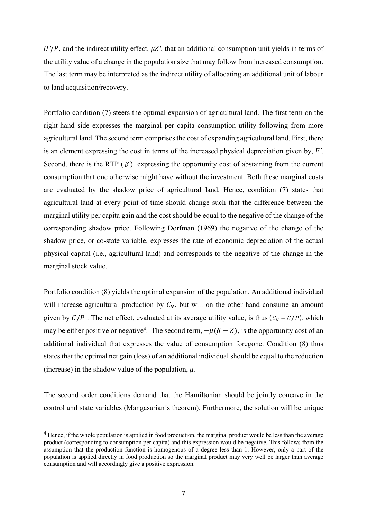*, and the indirect utility effect,*  $\mu Z'$ *, that an additional consumption unit yields in terms of* the utility value of a change in the population size that may follow from increased consumption. The last term may be interpreted as the indirect utility of allocating an additional unit of labour to land acquisition/recovery.

Portfolio condition (7) steers the optimal expansion of agricultural land. The first term on the right-hand side expresses the marginal per capita consumption utility following from more agricultural land. The second term comprises the cost of expanding agricultural land. First, there is an element expressing the cost in terms of the increased physical depreciation given by, *F'*. Second, there is the RTP  $(\delta)$  expressing the opportunity cost of abstaining from the current consumption that one otherwise might have without the investment. Both these marginal costs are evaluated by the shadow price of agricultural land. Hence, condition (7) states that agricultural land at every point of time should change such that the difference between the marginal utility per capita gain and the cost should be equal to the negative of the change of the corresponding shadow price. Following Dorfman (1969) the negative of the change of the shadow price, or co-state variable, expresses the rate of economic depreciation of the actual physical capital (i.e., agricultural land) and corresponds to the negative of the change in the marginal stock value.

Portfolio condition (8) yields the optimal expansion of the population. An additional individual will increase agricultural production by  $C_N$ , but will on the other hand consume an amount given by  $C/P$ . The net effect, evaluated at its average utility value, is thus  $(C_N - C/P)$ , which may be either positive or negative<sup>4</sup>. The second term,  $-\mu(\delta - Z)$ , is the opportunity cost of an additional individual that expresses the value of consumption foregone. Condition (8) thus states that the optimal net gain (loss) of an additional individual should be equal to the reduction (increase) in the shadow value of the population,  $\mu$ .

The second order conditions demand that the Hamiltonian should be jointly concave in the control and state variables (Mangasarian´s theorem). Furthermore, the solution will be unique

 $<sup>4</sup>$  Hence, if the whole population is applied in food production, the marginal product would be less than the average</sup> product (corresponding to consumption per capita) and this expression would be negative. This follows from the assumption that the production function is homogenous of a degree less than 1. However, only a part of the population is applied directly in food production so the marginal product may very well be larger than average consumption and will accordingly give a positive expression.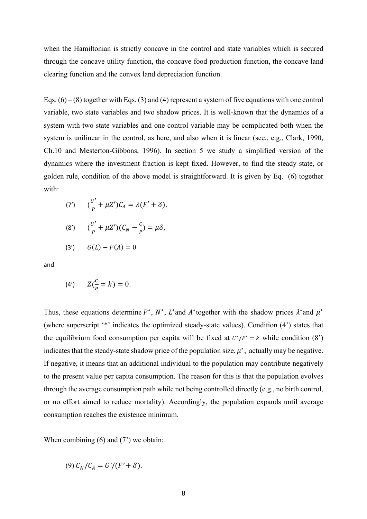when the Hamiltonian is strictly concave in the control and state variables which is secured through the concave utility function, the concave food production function, the concave land clearing function and the convex land depreciation function.

Eqs.  $(6) - (8)$  together with Eqs.  $(3)$  and  $(4)$  represent a system of five equations with one control variable, two state variables and two shadow prices. It is well-known that the dynamics of a system with two state variables and one control variable may be complicated both when the system is unilinear in the control, as here, and also when it is linear (see., e.g., Clark, 1990, Ch.10 and Mesterton-Gibbons, 1996). In section 5 we study a simplified version of the dynamics where the investment fraction is kept fixed. However, to find the steady-state, or golden rule, condition of the above model is straightforward. It is given by Eq. (6) together with:

(7') 
$$
\left(\frac{U'}{P} + \mu Z'\right)C_A = \lambda (F' + \delta),
$$

(8') 
$$
\left(\frac{U'}{P} + \mu Z'\right)(C_N - \frac{C}{P}) = \mu \delta,
$$

(3')  $G(L) - F(A) = 0$ 

and

(4') 
$$
Z(\frac{c}{p} = k) = 0.
$$

Thus, these equations determine  $P^*$ ,  $N^*$ ,  $L^*$  and  $A^*$  together with the shadow prices  $\lambda^*$  and  $\mu^*$ (where superscript '\*' indicates the optimized steady-state values). Condition (4') states that the equilibrium food consumption per capita will be fixed at  $C^*/P^* = k$  while condition (8') indicates that the steady-state shadow price of the population size,  $\mu^*$ , actually may be negative. If negative, it means that an additional individual to the population may contribute negatively to the present value per capita consumption. The reason for this is that the population evolves through the average consumption path while not being controlled directly (e.g., no birth control, or no effort aimed to reduce mortality). Accordingly, the population expands until average consumption reaches the existence minimum.

When combining  $(6)$  and  $(7)$  we obtain:

$$
(9) C_N/C_A = G'/(F' + \delta).
$$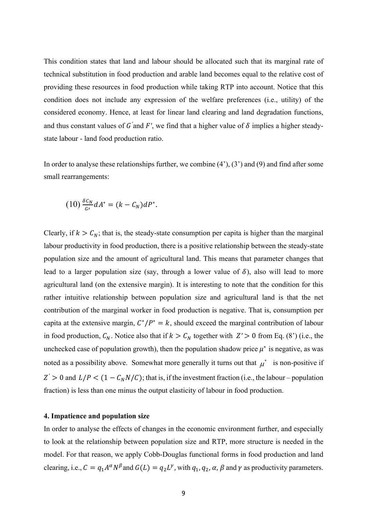This condition states that land and labour should be allocated such that its marginal rate of technical substitution in food production and arable land becomes equal to the relative cost of providing these resources in food production while taking RTP into account. Notice that this condition does not include any expression of the welfare preferences (i.e., utility) of the considered economy. Hence, at least for linear land clearing and land degradation functions, and thus constant values of  $G'$  and  $F'$ , we find that a higher value of  $\delta$  implies a higher steadystate labour - land food production ratio.

In order to analyse these relationships further, we combine  $(4')$ ,  $(3')$  and  $(9)$  and find after some small rearrangements:

$$
(10)\frac{\delta c_N}{G'}dA^*=(k-C_N)dP^*.
$$

Clearly, if  $k > C_N$ ; that is, the steady-state consumption per capita is higher than the marginal labour productivity in food production, there is a positive relationship between the steady-state population size and the amount of agricultural land. This means that parameter changes that lead to a larger population size (say, through a lower value of  $\delta$ ), also will lead to more agricultural land (on the extensive margin). It is interesting to note that the condition for this rather intuitive relationship between population size and agricultural land is that the net contribution of the marginal worker in food production is negative. That is, consumption per capita at the extensive margin,  $C^*/P^* = k$ , should exceed the marginal contribution of labour in food production,  $C_N$ . Notice also that if  $k > C_N$  together with  $Z' > 0$  from Eq. (8') (i.e., the unchecked case of population growth), then the population shadow price  $\mu^*$  is negative, as was noted as a possibility above. Somewhat more generally it turns out that  $\mu^*$  is non-positive if  $Z' > 0$  and  $L/P < (1 - C_N N/C)$ ; that is, if the investment fraction (i.e., the labour – population fraction) is less than one minus the output elasticity of labour in food production.

## **4. Impatience and population size**

In order to analyse the effects of changes in the economic environment further, and especially to look at the relationship between population size and RTP, more structure is needed in the model. For that reason, we apply Cobb-Douglas functional forms in food production and land clearing, i.e.,  $C = q_1 A^{\alpha} N^{\beta}$  and  $G(L) = q_2 L^{\gamma}$ , with  $q_1, q_2, \alpha, \beta$  and  $\gamma$  as productivity parameters.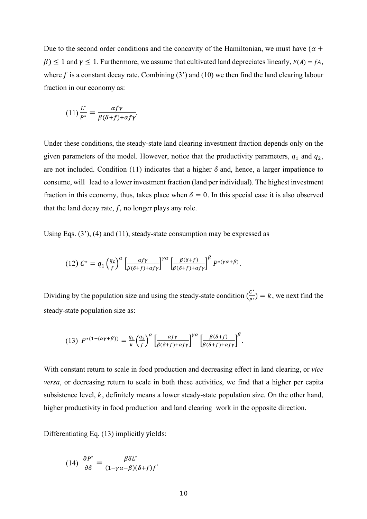Due to the second order conditions and the concavity of the Hamiltonian, we must have  $(\alpha +$  $\beta$ )  $\leq$  1 and  $\gamma$   $\leq$  1. Furthermore, we assume that cultivated land depreciates linearly,  $F(A) = fA$ , where f is a constant decay rate. Combining  $(3')$  and  $(10)$  we then find the land clearing labour fraction in our economy as:

$$
(11)\frac{L^*}{P^*} = \frac{\alpha f \gamma}{\beta(\delta + f) + \alpha f \gamma}.
$$

Under these conditions, the steady-state land clearing investment fraction depends only on the given parameters of the model. However, notice that the productivity parameters,  $q_1$  and  $q_2$ , are not included. Condition (11) indicates that a higher  $\delta$  and, hence, a larger impatience to consume, will lead to a lower investment fraction (land per individual). The highest investment fraction in this economy, thus, takes place when  $\delta = 0$ . In this special case it is also observed that the land decay rate,  $f$ , no longer plays any role.

Using Eqs. (3'), (4) and (11), steady-state consumption may be expressed as

$$
(12)\ C^* = q_1 \left(\frac{q_2}{f}\right)^{\alpha} \left[\frac{\alpha f \gamma}{\beta(\delta+f) + \alpha f \gamma}\right]^{\gamma \alpha} \left[\frac{\beta(\delta+f)}{\beta(\delta+f) + \alpha f \gamma}\right]^{\beta} P^{*(\gamma \alpha + \beta)}.
$$

Dividing by the population size and using the steady-state condition  $\binom{C^*}{P^*} = k$ , we next find the steady-state population size as:

(13) 
$$
P^{*(1-(\alpha\gamma+\beta))} = \frac{q_1}{k} \left(\frac{q_2}{f}\right)^{\alpha} \left[\frac{\alpha f \gamma}{\beta(\delta+f) + \alpha f \gamma}\right]^{\gamma \alpha} \left[\frac{\beta(\delta+f)}{\beta(\delta+f) + \alpha f \gamma}\right]^{\beta}.
$$

With constant return to scale in food production and decreasing effect in land clearing, or *vice versa*, or decreasing return to scale in both these activities, we find that a higher per capita subsistence level,  $k$ , definitely means a lower steady-state population size. On the other hand, higher productivity in food production and land clearing work in the opposite direction.

Differentiating Eq. (13) implicitly yields:

(14) 
$$
\frac{\partial P^*}{\partial \delta} = \frac{\beta \delta L^*}{(1 - \gamma \alpha - \beta)(\delta + f)f}.
$$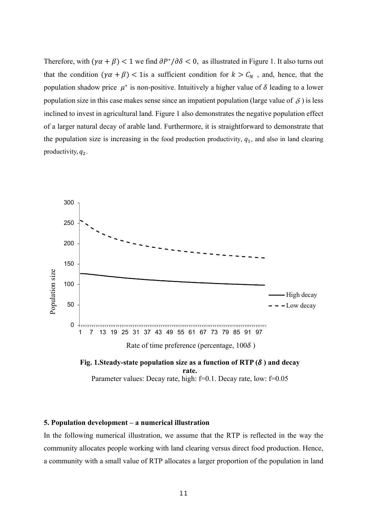Therefore, with  $(\gamma \alpha + \beta) < 1$  we find  $\partial P^* / \partial \delta < 0$ , as illustrated in Figure 1. It also turns out that the condition  $(\gamma \alpha + \beta) < 1$  is a sufficient condition for  $k > C_N$ , and, hence, that the population shadow price  $\mu^*$  is non-positive. Intuitively a higher value of  $\delta$  leading to a lower population size in this case makes sense since an impatient population (large value of  $\delta$ ) is less inclined to invest in agricultural land. Figure 1 also demonstrates the negative population effect of a larger natural decay of arable land. Furthermore, it is straightforward to demonstrate that the population size is increasing in the food production productivity,  $q_1$ , and also in land clearing productivity,  $q_2$ .





## **5. Population development – a numerical illustration**

In the following numerical illustration, we assume that the RTP is reflected in the way the community allocates people working with land clearing versus direct food production. Hence, a community with a small value of RTP allocates a larger proportion of the population in land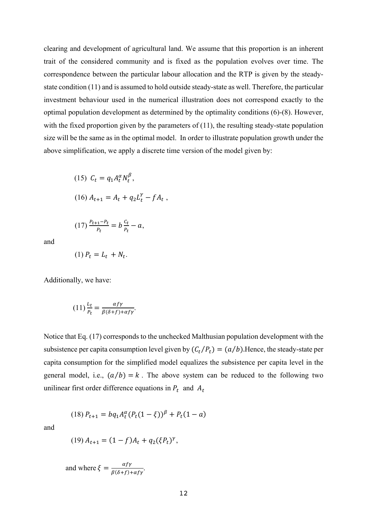clearing and development of agricultural land. We assume that this proportion is an inherent trait of the considered community and is fixed as the population evolves over time. The correspondence between the particular labour allocation and the RTP is given by the steadystate condition (11) and is assumed to hold outside steady-state as well. Therefore, the particular investment behaviour used in the numerical illustration does not correspond exactly to the optimal population development as determined by the optimality conditions (6)-(8). However, with the fixed proportion given by the parameters of  $(11)$ , the resulting steady-state population size will be the same as in the optimal model. In order to illustrate population growth under the above simplification, we apply a discrete time version of the model given by:

(15) 
$$
C_t = q_1 A_t^{\alpha} N_t^{\beta}
$$
,  
(16)  $A_{t+1} = A_t + q_2 L_t^{\gamma} - f A_t$ ,

$$
(17)\frac{P_{t+1}-P_t}{P_t}=b\frac{C_t}{P_t}-a,
$$

and

$$
(1) P_t = L_t + N_t.
$$

Additionally, we have:

$$
(11)\frac{L_t}{P_t} = \frac{\alpha f\gamma}{\beta(\delta + f) + \alpha f\gamma}.
$$

Notice that Eq. (17) corresponds to the unchecked Malthusian population development with the subsistence per capita consumption level given by  $(C_t/P_t) = (a/b)$ . Hence, the steady-state per capita consumption for the simplified model equalizes the subsistence per capita level in the general model, i.e.,  $(a/b) = k$ . The above system can be reduced to the following two unilinear first order difference equations in  $P_t$  and  $A_t$ 

$$
(18) P_{t+1} = bq_1 A_t^{\alpha} (P_t (1 - \xi))^{\beta} + P_t (1 - a)
$$

and

$$
(19) A_{t+1} = (1 - f)A_t + q_2(\xi P_t)^{\gamma},
$$

and where  $\xi = \frac{\alpha f \gamma}{\beta(\delta + f) + \alpha f \gamma}$ .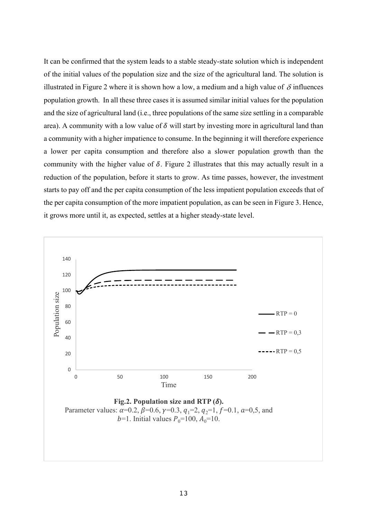It can be confirmed that the system leads to a stable steady-state solution which is independent of the initial values of the population size and the size of the agricultural land. The solution is illustrated in Figure 2 where it is shown how a low, a medium and a high value of  $\delta$  influences population growth. In all these three cases it is assumed similar initial values for the population and the size of agricultural land (i.e., three populations of the same size settling in a comparable area). A community with a low value of  $\delta$  will start by investing more in agricultural land than a community with a higher impatience to consume. In the beginning it will therefore experience a lower per capita consumption and therefore also a slower population growth than the community with the higher value of  $\delta$ . Figure 2 illustrates that this may actually result in a reduction of the population, before it starts to grow. As time passes, however, the investment starts to pay off and the per capita consumption of the less impatient population exceeds that of the per capita consumption of the more impatient population, as can be seen in Figure 3. Hence, it grows more until it, as expected, settles at a higher steady-state level.

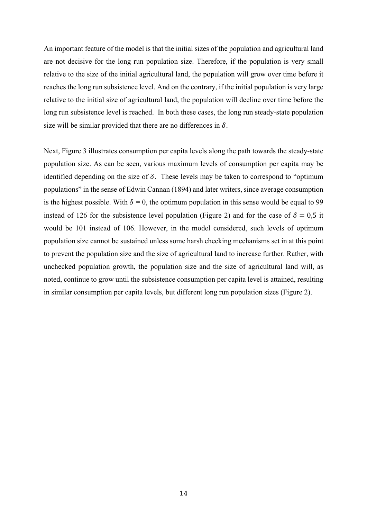An important feature of the model is that the initial sizes of the population and agricultural land are not decisive for the long run population size. Therefore, if the population is very small relative to the size of the initial agricultural land, the population will grow over time before it reaches the long run subsistence level. And on the contrary, if the initial population is very large relative to the initial size of agricultural land, the population will decline over time before the long run subsistence level is reached. In both these cases, the long run steady-state population size will be similar provided that there are no differences in  $\delta$ .

Next, Figure 3 illustrates consumption per capita levels along the path towards the steady-state population size. As can be seen, various maximum levels of consumption per capita may be identified depending on the size of  $\delta$ . These levels may be taken to correspond to "optimum" populations" in the sense of Edwin Cannan (1894) and later writers, since average consumption is the highest possible. With  $\delta = 0$ , the optimum population in this sense would be equal to 99 instead of 126 for the subsistence level population (Figure 2) and for the case of  $\delta = 0.5$  it would be 101 instead of 106. However, in the model considered, such levels of optimum population size cannot be sustained unless some harsh checking mechanisms set in at this point to prevent the population size and the size of agricultural land to increase further. Rather, with unchecked population growth, the population size and the size of agricultural land will, as noted, continue to grow until the subsistence consumption per capita level is attained, resulting in similar consumption per capita levels, but different long run population sizes (Figure 2).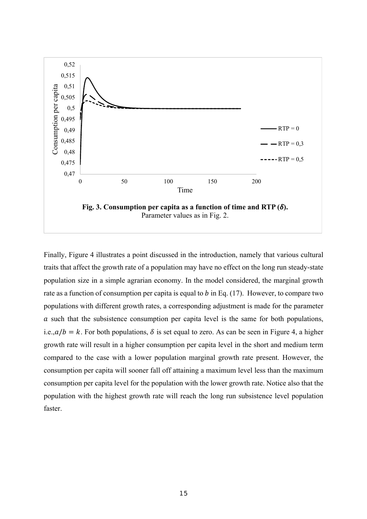

Finally, Figure 4 illustrates a point discussed in the introduction, namely that various cultural traits that affect the growth rate of a population may have no effect on the long run steady-state population size in a simple agrarian economy. In the model considered, the marginal growth rate as a function of consumption per capita is equal to  $b$  in Eq. (17). However, to compare two populations with different growth rates, a corresponding adjustment is made for the parameter  $\alpha$  such that the subsistence consumption per capita level is the same for both populations, i.e., $a/b = k$ . For both populations,  $\delta$  is set equal to zero. As can be seen in Figure 4, a higher growth rate will result in a higher consumption per capita level in the short and medium term compared to the case with a lower population marginal growth rate present. However, the consumption per capita will sooner fall off attaining a maximum level less than the maximum consumption per capita level for the population with the lower growth rate. Notice also that the population with the highest growth rate will reach the long run subsistence level population faster.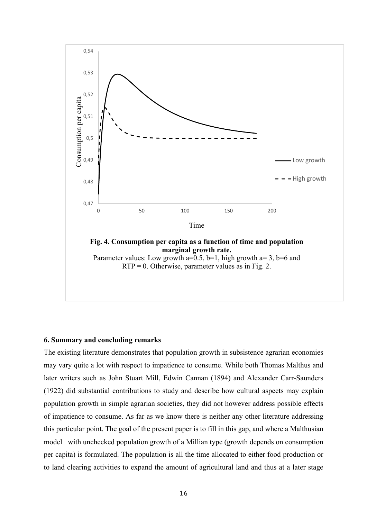

#### **6. Summary and concluding remarks**

The existing literature demonstrates that population growth in subsistence agrarian economies may vary quite a lot with respect to impatience to consume. While both Thomas Malthus and later writers such as John Stuart Mill, Edwin Cannan (1894) and Alexander Carr-Saunders (1922) did substantial contributions to study and describe how cultural aspects may explain population growth in simple agrarian societies, they did not however address possible effects of impatience to consume. As far as we know there is neither any other literature addressing this particular point. The goal of the present paper is to fill in this gap, and where a Malthusian model with unchecked population growth of a Millian type (growth depends on consumption per capita) is formulated. The population is all the time allocated to either food production or to land clearing activities to expand the amount of agricultural land and thus at a later stage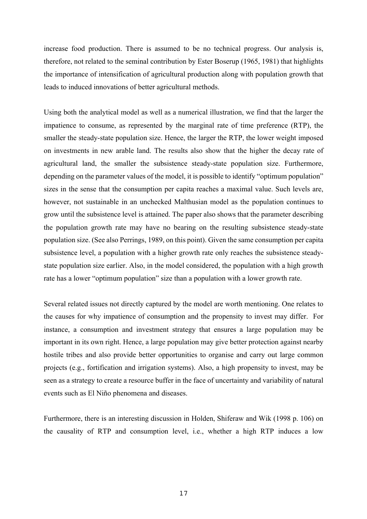increase food production. There is assumed to be no technical progress. Our analysis is, therefore, not related to the seminal contribution by Ester Boserup (1965, 1981) that highlights the importance of intensification of agricultural production along with population growth that leads to induced innovations of better agricultural methods.

Using both the analytical model as well as a numerical illustration, we find that the larger the impatience to consume, as represented by the marginal rate of time preference (RTP), the smaller the steady-state population size. Hence, the larger the RTP, the lower weight imposed on investments in new arable land. The results also show that the higher the decay rate of agricultural land, the smaller the subsistence steady-state population size. Furthermore, depending on the parameter values of the model, it is possible to identify "optimum population" sizes in the sense that the consumption per capita reaches a maximal value. Such levels are, however, not sustainable in an unchecked Malthusian model as the population continues to grow until the subsistence level is attained. The paper also shows that the parameter describing the population growth rate may have no bearing on the resulting subsistence steady-state population size. (See also Perrings, 1989, on this point). Given the same consumption per capita subsistence level, a population with a higher growth rate only reaches the subsistence steadystate population size earlier. Also, in the model considered, the population with a high growth rate has a lower "optimum population" size than a population with a lower growth rate.

Several related issues not directly captured by the model are worth mentioning. One relates to the causes for why impatience of consumption and the propensity to invest may differ. For instance, a consumption and investment strategy that ensures a large population may be important in its own right. Hence, a large population may give better protection against nearby hostile tribes and also provide better opportunities to organise and carry out large common projects (e.g., fortification and irrigation systems). Also, a high propensity to invest, may be seen as a strategy to create a resource buffer in the face of uncertainty and variability of natural events such as El Niño phenomena and diseases.

Furthermore, there is an interesting discussion in Holden, Shiferaw and Wik (1998 p. 106) on the causality of RTP and consumption level, i.e., whether a high RTP induces a low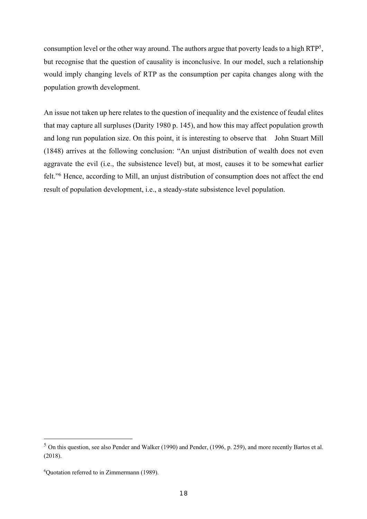consumption level or the other way around. The authors argue that poverty leads to a high RTP5, but recognise that the question of causality is inconclusive. In our model, such a relationship would imply changing levels of RTP as the consumption per capita changes along with the population growth development.

An issue not taken up here relates to the question of inequality and the existence of feudal elites that may capture all surpluses (Darity 1980 p. 145), and how this may affect population growth and long run population size. On this point, it is interesting to observe that John Stuart Mill (1848) arrives at the following conclusion: "An unjust distribution of wealth does not even aggravate the evil (i.e., the subsistence level) but, at most, causes it to be somewhat earlier felt."6 Hence, according to Mill, an unjust distribution of consumption does not affect the end result of population development, i.e., a steady-state subsistence level population.

<sup>5</sup> On this question, see also Pender and Walker (1990) and Pender, (1996, p. 259), and more recently Bartos et al. (2018).

<sup>6</sup> Quotation referred to in Zimmermann (1989).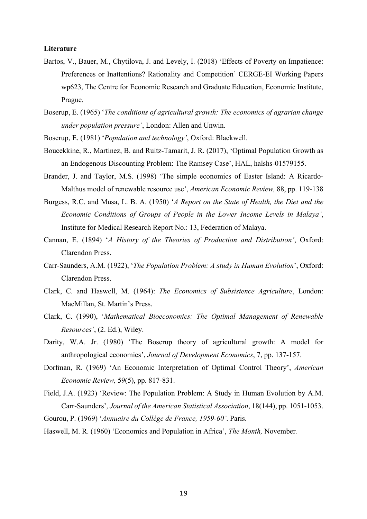#### **Literature**

- Bartos, V., Bauer, M., Chytilova, J. and Levely, I. (2018) 'Effects of Poverty on Impatience: Preferences or Inattentions? Rationality and Competition' CERGE-EI Working Papers wp623, The Centre for Economic Research and Graduate Education, Economic Institute, Prague.
- Boserup, E. (1965) '*The conditions of agricultural growth: The economics of agrarian change under population pressure'*, London: Allen and Unwin.
- Boserup, E. (1981) '*Population and technology'*, Oxford: Blackwell.
- Boucekkine, R., Martinez, B. and Ruitz-Tamarit, J. R. (2017), 'Optimal Population Growth as an Endogenous Discounting Problem: The Ramsey Case', HAL, halshs-01579155.
- Brander, J. and Taylor, M.S. (1998) 'The simple economics of Easter Island: A Ricardo-Malthus model of renewable resource use', *American Economic Review,* 88, pp. 119-138
- Burgess, R.C. and Musa, L. B. A. (1950) '*A Report on the State of Health, the Diet and the Economic Conditions of Groups of People in the Lower Income Levels in Malaya'*, Institute for Medical Research Report No.: 13, Federation of Malaya.
- Cannan, E. (1894) '*A History of the Theories of Production and Distribution'*, Oxford: Clarendon Press.
- Carr-Saunders, A.M. (1922), '*The Population Problem: A study in Human Evolution*', Oxford: Clarendon Press.
- Clark, C. and Haswell, M. (1964): *The Economics of Subsistence Agriculture*, London: MacMillan, St. Martin's Press.
- Clark, C. (1990), '*Mathematical Bioeconomics: The Optimal Management of Renewable Resources'*, (2. Ed.), Wiley.
- Darity, W.A. Jr. (1980) 'The Boserup theory of agricultural growth: A model for anthropological economics', *Journal of Development Economics*, 7, pp. 137-157.
- Dorfman, R. (1969) 'An Economic Interpretation of Optimal Control Theory', *American Economic Review,* 59(5), pp. 817-831.
- Field, J.A. (1923) 'Review: The Population Problem: A Study in Human Evolution by A.M. Carr-Saunders', *Journal of the American Statistical Association*, 18(144), pp. 1051-1053.
- Gourou, P. (1969) '*Annuaire du Collège de France, 1959-60'*. Paris.
- Haswell, M. R. (1960) 'Economics and Population in Africa', *The Month,* November*.*